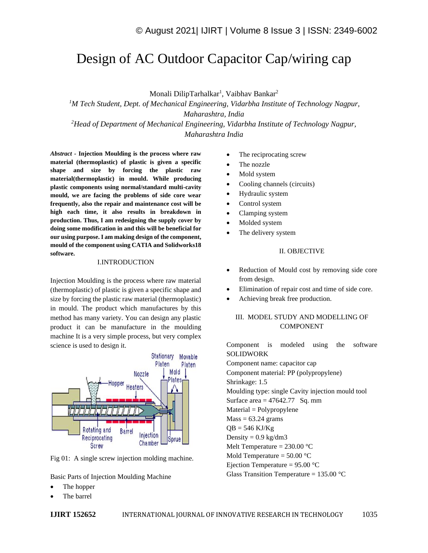# Design of AC Outdoor Capacitor Cap/wiring cap

Monali DilipTarhalkar<sup>1</sup>, Vaibhav Bankar<sup>2</sup>

*<sup>1</sup>M Tech Student, Dept. of Mechanical Engineering, Vidarbha Institute of Technology Nagpur, Maharashtra, India <sup>2</sup>Head of Department of Mechanical Engineering, Vidarbha Institute of Technology Nagpur,* 

*Maharashtra India*

*Abstract -* **Injection Moulding is the process where raw material (thermoplastic) of plastic is given a specific shape and size by forcing the plastic raw material(thermoplastic) in mould. While producing plastic components using normal/standard multi-cavity mould, we are facing the problems of side core wear frequently, also the repair and maintenance cost will be high each time, it also results in breakdown in production. Thus, I am redesigning the supply cover by doing some modification in and this will be beneficial for our using purpose. I am making design of the component, mould of the component using CATIA and Solidworks18 software.**

### I.INTRODUCTION

Injection Moulding is the process where raw material (thermoplastic) of plastic is given a specific shape and size by forcing the plastic raw material (thermoplastic) in mould. The product which manufactures by this method has many variety. You can design any plastic product it can be manufacture in the moulding machine It is a very simple process, but very complex science is used to design it.



Fig 01: A single screw injection molding machine.

Basic Parts of Injection Moulding Machine

- The hopper
- The barrel
- The reciprocating screw
- The nozzle
- Mold system
- Cooling channels (circuits)
- Hydraulic system
- Control system
- Clamping system
- Molded system
- The delivery system

### II. OBJECTIVE

- Reduction of Mould cost by removing side core from design.
- Elimination of repair cost and time of side core.
- Achieving break free production.

### III. MODEL STUDY AND MODELLING OF COMPONENT

Component is modeled using the software SOLIDWORK Component name: capacitor cap Component material: PP (polypropylene) Shrinkage: 1.5 Moulding type: single Cavity injection mould tool Surface area  $= 47642.77$  Sq. mm Material = Polypropylene  $Mass = 63.24$  grams  $QB = 546$  KJ/Kg Density =  $0.9 \text{ kg/dm}$ 3 Melt Temperature =  $230.00$  °C Mold Temperature =  $50.00$  °C Ejection Temperature =  $95.00$  °C Glass Transition Temperature =  $135.00 \degree C$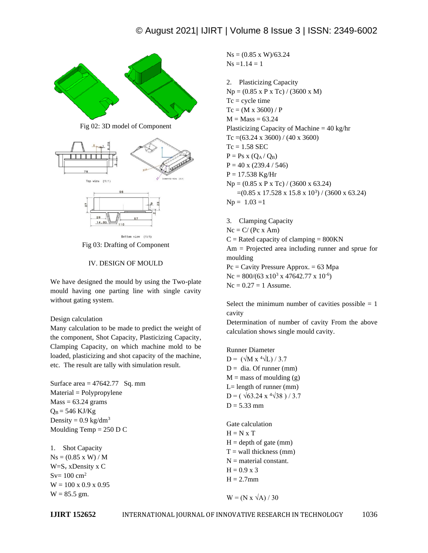

Fig 03: Drafting of Component

# IV. DESIGN OF MOULD

We have designed the mould by using the Two-plate mould having one parting line with single cavity without gating system.

# Design calculation

Many calculation to be made to predict the weight of the component, Shot Capacity, Plasticizing Capacity, Clamping Capacity, on which machine mold to be loaded, plasticizing and shot capacity of the machine, etc. The result are tally with simulation result.

Surface area  $= 47642.77$  Sq. mm Material = Polypropylene  $Mass = 63.24$  grams  $Q_B = 546$  KJ/Kg Density =  $0.9 \text{ kg/dm}^3$ Moulding Temp = 250 D C

1. Shot Capacity  $Ns = (0.85 \times W) / M$  $W=S_v$  xDensity x C  $Sv= 100 \text{ cm}^2$  $W = 100 \times 0.9 \times 0.95$  $W = 85.5$  gm.

 $Ns = (0.85 \times W)/63.24$  $Ns = 1.14 = 1$ 

2. Plasticizing Capacity Np = (0.85 x P x Tc) / (3600 x M)  $Tc = cycle$  time  $Tc = (M \times 3600) / P$  $M = Mass = 63.24$ Plasticizing Capacity of Machine = 40 kg/hr Tc =(63.24 x 3600) / (40 x 3600)  $Tc = 1.58$  SEC  $P = Ps x (Q<sub>A</sub>/Q<sub>B</sub>)$  $P = 40$  x (239.4 / 546)  $P = 17.538$  Kg/Hr  $Np = (0.85 \times P \times Tc) / (3600 \times 63.24)$  $=(0.85 \times 17.528 \times 15.8 \times 10^3) / (3600 \times 63.24)$  $Np = 1.03 = 1$ 

3. Clamping Capacity  $Nc = C/(Pc x Am)$  $C =$  Rated capacity of clamping = 800KN Am = Projected area including runner and sprue for moulding  $Pc = Cavity$  Pressure Approx. = 63 Mpa  $Nc = 800/(63 \times 10^3 \times 47642.77 \times 10^{-6})$  $Nc = 0.27 = 1$  Assume.

Select the minimum number of cavities possible  $= 1$ cavity

Determination of number of cavity From the above calculation shows single mould cavity.

Runner Diameter  $D = (\sqrt{M} x^4 \sqrt{L}) / 3.7$  $D = \text{dia}$ . Of runner (mm)  $M =$  mass of moulding (g)  $L=$  length of runner (mm)  $D = (\sqrt{63.24 \times 4 \sqrt{38}})/3.7$  $D = 5.33$  mm

Gate calculation  $H = N x T$  $H =$  depth of gate (mm)  $T =$  wall thickness (mm)  $N =$  material constant.  $H = 0.9$  x 3  $H = 2.7$ mm

 $W = (N x \sqrt{A}) / 30$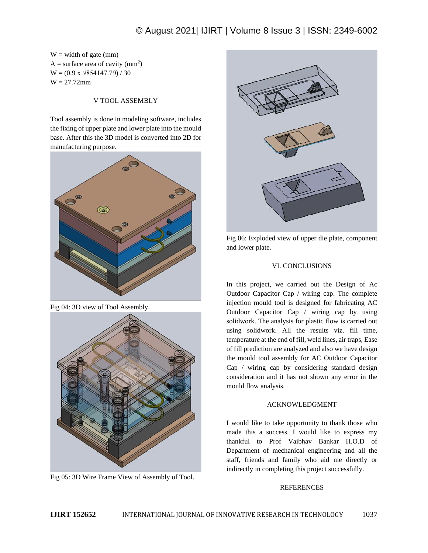# © August 2021| IJIRT | Volume 8 Issue 3 | ISSN: 2349-6002

 $W =$  width of gate (mm) A = surface area of cavity  $(mm^2)$  $W = (0.9 \times \sqrt{854147.79}) / 30$  $W = 27.72$ mm

### V TOOL ASSEMBLY

Tool assembly is done in modeling software, includes the fixing of upper plate and lower plate into the mould base. After this the 3D model is converted into 2D for manufacturing purpose.



Fig 04: 3D view of Tool Assembly.



Fig 05: 3D Wire Frame View of Assembly of Tool.



Fig 06: Exploded view of upper die plate, component and lower plate.

### VI. CONCLUSIONS

In this project, we carried out the Design of Ac Outdoor Capacitor Cap / wiring cap. The complete injection mould tool is designed for fabricating AC Outdoor Capacitor Cap / wiring cap by using solidwork. The analysis for plastic flow is carried out using solidwork. All the results viz. fill time, temperature at the end of fill, weld lines, air traps, Ease of fill prediction are analyzed and also we have design the mould tool assembly for AC Outdoor Capacitor Cap / wiring cap by considering standard design consideration and it has not shown any error in the mould flow analysis.

#### ACKNOWLEDGMENT

I would like to take opportunity to thank those who made this a success. I would like to express my thankful to Prof Vaibhav Bankar H.O.D of Department of mechanical engineering and all the staff, friends and family who aid me directly or indirectly in completing this project successfully.

### **REFERENCES**